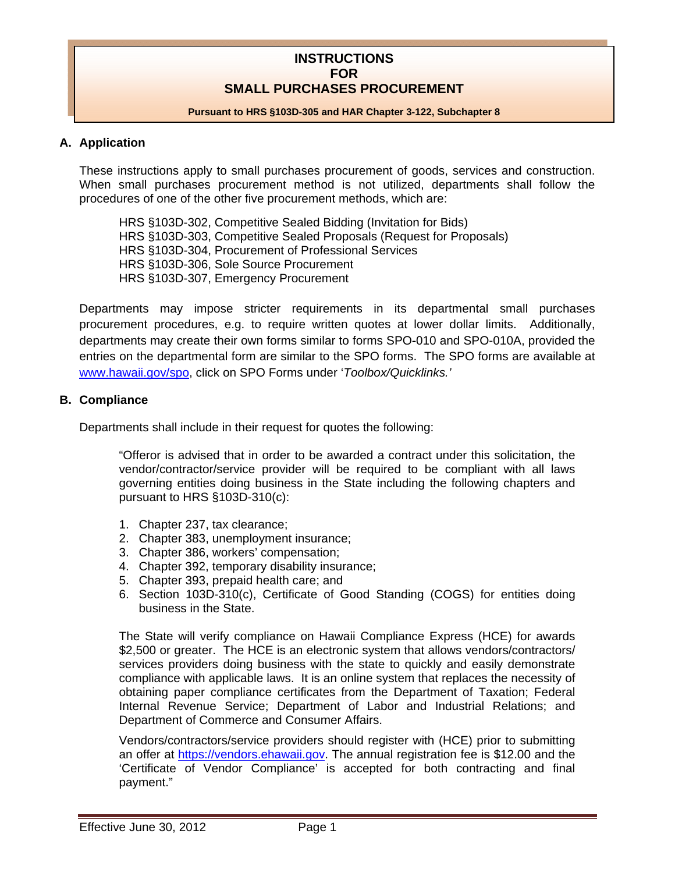### **INSTRUCTIONS FOR SMALL PURCHASES PROCUREMENT**

#### **Pursuant to HRS §103D-305 and HAR Chapter 3-122, Subchapter 8**

#### **A. Application**

These instructions apply to small purchases procurement of goods, services and construction. When small purchases procurement method is not utilized, departments shall follow the procedures of one of the other five procurement methods, which are:

 HRS §103D-302, Competitive Sealed Bidding (Invitation for Bids) HRS §103D-303, Competitive Sealed Proposals (Request for Proposals) HRS §103D-304, Procurement of Professional Services HRS §103D-306, Sole Source Procurement HRS §103D-307, Emergency Procurement

Departments may impose stricter requirements in its departmental small purchases procurement procedures, e.g. to require written quotes at lower dollar limits. Additionally, departments may create their own forms similar to forms SPO-010 and SPO-010A, provided the entries on the departmental form are similar to the SPO forms. The SPO forms are available at www.hawaii.gov/spo, click on SPO Forms under '*Toolbox/Quicklinks.'*

#### **B. Compliance**

Departments shall include in their request for quotes the following:

"Offeror is advised that in order to be awarded a contract under this solicitation, the vendor/contractor/service provider will be required to be compliant with all laws governing entities doing business in the State including the following chapters and pursuant to HRS §103D-310(c):

- 1. Chapter 237, tax clearance;
- 2. Chapter 383, unemployment insurance;
- 3. Chapter 386, workers' compensation;
- 4. Chapter 392, temporary disability insurance;
- 5. Chapter 393, prepaid health care; and
- 6. Section 103D-310(c), Certificate of Good Standing (COGS) for entities doing business in the State.

The State will verify compliance on Hawaii Compliance Express (HCE) for awards \$2,500 or greater. The HCE is an electronic system that allows vendors/contractors/ services providers doing business with the state to quickly and easily demonstrate compliance with applicable laws. It is an online system that replaces the necessity of obtaining paper compliance certificates from the Department of Taxation; Federal Internal Revenue Service; Department of Labor and Industrial Relations; and Department of Commerce and Consumer Affairs.

Vendors/contractors/service providers should register with (HCE) prior to submitting an offer at https://vendors.ehawaii.gov. The annual registration fee is \$12.00 and the 'Certificate of Vendor Compliance' is accepted for both contracting and final payment."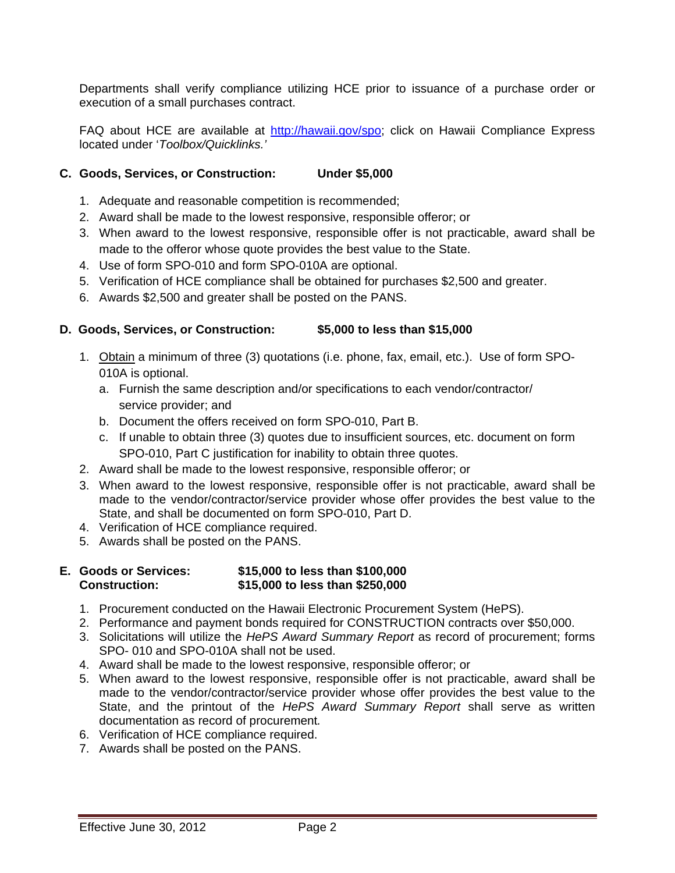Departments shall verify compliance utilizing HCE prior to issuance of a purchase order or execution of a small purchases contract.

FAQ about HCE are available at http://hawaii.gov/spo; click on Hawaii Compliance Express located under '*Toolbox/Quicklinks.'* 

#### **C. Goods, Services, or Construction: Under \$5,000**

- 1. Adequate and reasonable competition is recommended;
- 2. Award shall be made to the lowest responsive, responsible offeror; or
- 3. When award to the lowest responsive, responsible offer is not practicable, award shall be made to the offeror whose quote provides the best value to the State.
- 4. Use of form SPO-010 and form SPO-010A are optional.
- 5. Verification of HCE compliance shall be obtained for purchases \$2,500 and greater.
- 6. Awards \$2,500 and greater shall be posted on the PANS.

#### **D. Goods, Services, or Construction: \$5,000 to less than \$15,000**

- 1. Obtain a minimum of three (3) quotations (i.e. phone, fax, email, etc.). Use of form SPO-010A is optional.
	- a. Furnish the same description and/or specifications to each vendor/contractor/ service provider; and
	- b. Document the offers received on form SPO-010, Part B.
	- c. If unable to obtain three (3) quotes due to insufficient sources, etc. document on form SPO-010, Part C justification for inability to obtain three quotes.
- 2. Award shall be made to the lowest responsive, responsible offeror; or
- 3. When award to the lowest responsive, responsible offer is not practicable, award shall be made to the vendor/contractor/service provider whose offer provides the best value to the State, and shall be documented on form SPO-010, Part D.
- 4. Verification of HCE compliance required.
- 5. Awards shall be posted on the PANS.

#### **E. Goods or Services: \$15,000 to less than \$100,000 Construction: \$15,000 to less than \$250,000**

- 1. Procurement conducted on the Hawaii Electronic Procurement System (HePS).
- 2. Performance and payment bonds required for CONSTRUCTION contracts over \$50,000.
- 3. Solicitations will utilize the *HePS Award Summary Report* as record of procurement; forms SPO- 010 and SPO-010A shall not be used.
- 4. Award shall be made to the lowest responsive, responsible offeror; or
- 5. When award to the lowest responsive, responsible offer is not practicable, award shall be made to the vendor/contractor/service provider whose offer provides the best value to the State, and the printout of the *HePS Award Summary Report* shall serve as written documentation as record of procurement*.*
- 6. Verification of HCE compliance required.
- 7. Awards shall be posted on the PANS.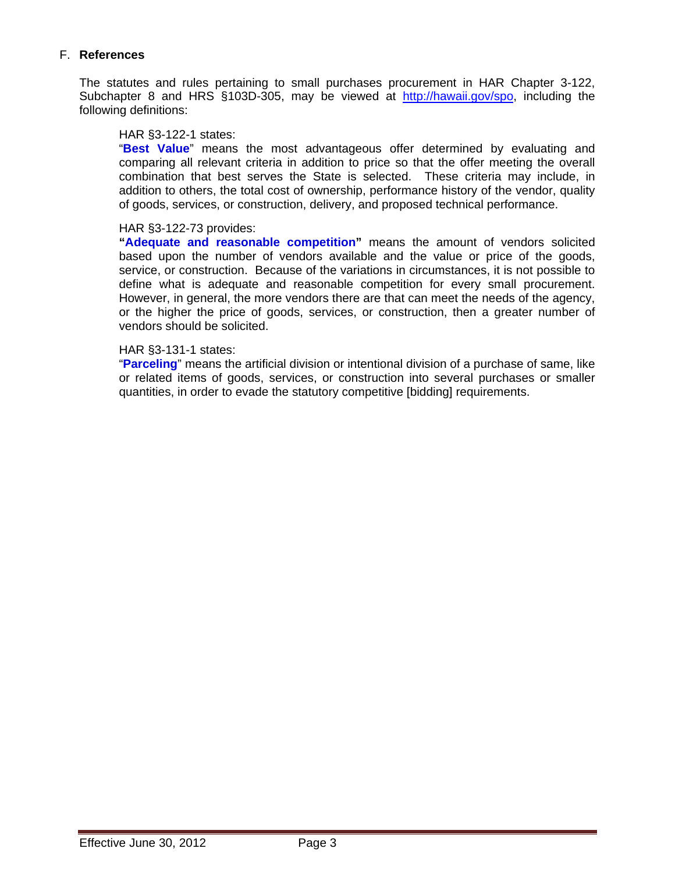#### F. **References**

The statutes and rules pertaining to small purchases procurement in HAR Chapter 3-122, Subchapter 8 and HRS §103D-305, may be viewed at http://hawaii.gov/spo, including the following definitions:

#### HAR §3-122-1 states:

"**Best Value**" means the most advantageous offer determined by evaluating and comparing all relevant criteria in addition to price so that the offer meeting the overall combination that best serves the State is selected. These criteria may include, in addition to others, the total cost of ownership, performance history of the vendor, quality of goods, services, or construction, delivery, and proposed technical performance.

#### HAR §3-122-73 provides:

**"Adequate and reasonable competition"** means the amount of vendors solicited based upon the number of vendors available and the value or price of the goods, service, or construction. Because of the variations in circumstances, it is not possible to define what is adequate and reasonable competition for every small procurement. However, in general, the more vendors there are that can meet the needs of the agency, or the higher the price of goods, services, or construction, then a greater number of vendors should be solicited.

#### HAR §3-131-1 states:

"**Parceling**" means the artificial division or intentional division of a purchase of same, like or related items of goods, services, or construction into several purchases or smaller quantities, in order to evade the statutory competitive [bidding] requirements.